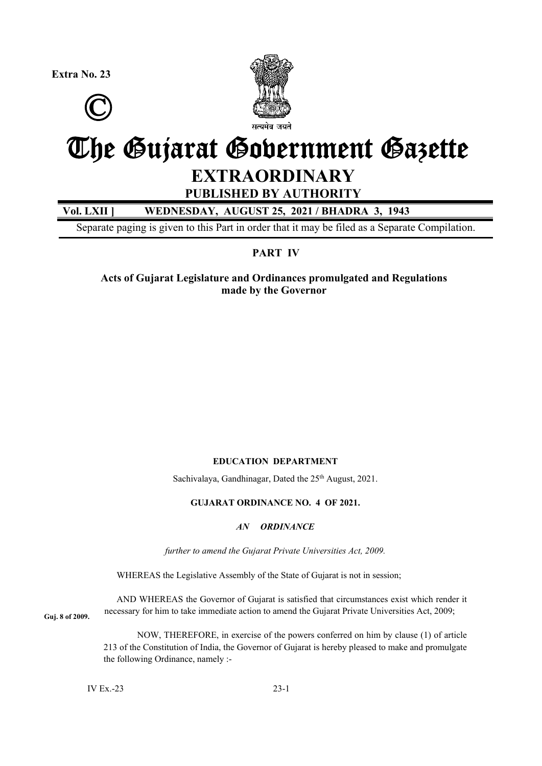**Extra No. 23** 





# The Gujarat Government Gazette

# **EXTRAORDINARY**

**PUBLISHED BY AUTHORITY** 

## **Vol. LXII ] WEDNESDAY, AUGUST 25, 2021 / BHADRA 3, 1943**

Separate paging is given to this Part in order that it may be filed as a Separate Compilation.

### **PART IV**

**Acts of Gujarat Legislature and Ordinances promulgated and Regulations made by the Governor** 

#### **EDUCATION DEPARTMENT**

Sachivalaya, Gandhinagar, Dated the 25<sup>th</sup> August, 2021.

#### **GUJARAT ORDINANCE NO. 4 OF 2021.**

#### *AN ORDINANCE*

*further to amend the Gujarat Private Universities Act, 2009.* 

WHEREAS the Legislative Assembly of the State of Gujarat is not in session;

AND WHEREAS the Governor of Gujarat is satisfied that circumstances exist which render it necessary for him to take immediate action to amend the Gujarat Private Universities Act, 2009; **Guj. 8 of 2009.** 

> NOW, THEREFORE, in exercise of the powers conferred on him by clause (1) of article 213 of the Constitution of India, the Governor of Gujarat is hereby pleased to make and promulgate the following Ordinance, namely :-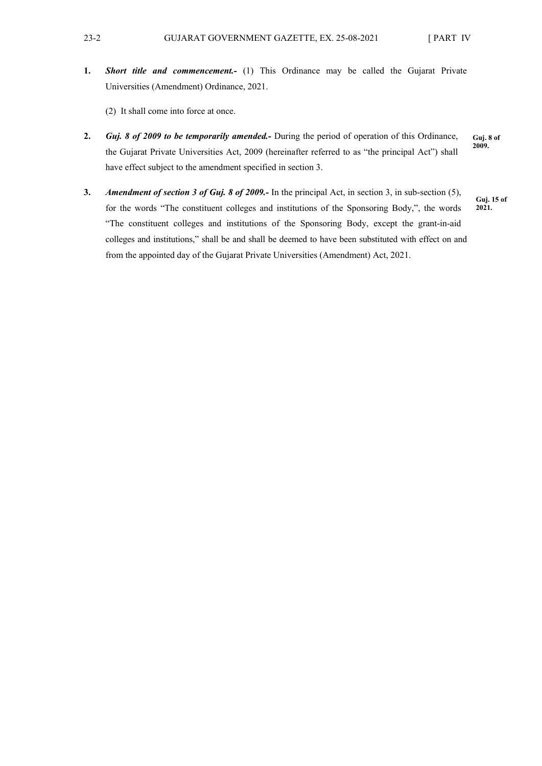**1.** *Short title and commencement.-* (1) This Ordinance may be called the Gujarat Private Universities (Amendment) Ordinance, 2021.

(2) It shall come into force at once.

- **2.** *Guj. 8 of 2009 to be temporarily amended.-* During the period of operation of this Ordinance, the Gujarat Private Universities Act, 2009 (hereinafter referred to as "the principal Act") shall have effect subject to the amendment specified in section 3. **Guj. 8 of 2009.**
- **3.** *Amendment of section 3 of Guj. 8 of 2009.-* In the principal Act, in section 3, in sub-section (5), for the words "The constituent colleges and institutions of the Sponsoring Body,", the words "The constituent colleges and institutions of the Sponsoring Body, except the grant-in-aid colleges and institutions," shall be and shall be deemed to have been substituted with effect on and from the appointed day of the Gujarat Private Universities (Amendment) Act, 2021.

**Guj. 15 of 2021.**